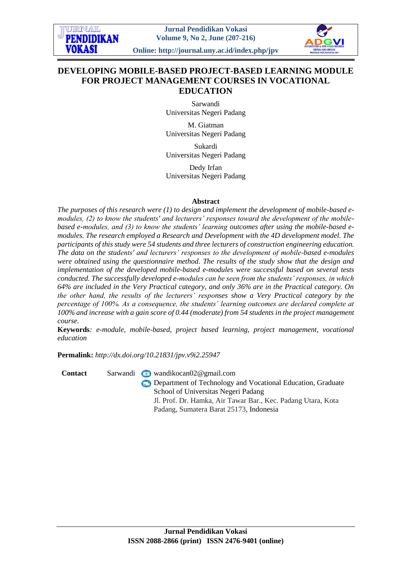URNAI **PENDIDIKAN** VOK ASI

**Jurnal Pendidikan Vokasi Volume 9, No 2, June (207-216)**

**Online: http://journal.uny.ac.id/index.php/jpv**



# **DEVELOPING MOBILE-BASED PROJECT-BASED LEARNING MODULE FOR PROJECT MANAGEMENT COURSES IN VOCATIONAL EDUCATION**

Sarwandi Universitas Negeri Padang

M. Giatman Universitas Negeri Padang

Sukardi Universitas Negeri Padang

Dedy Irfan Universitas Negeri Padang

### **Abstract**

*The purposes of this research were (1) to design and implement the development of mobile-based emodules, (2) to know the students' and lecturers' responses toward the development of the mobilebased e-modules, and (3) to know the students' learning outcomes after using the mobile-based emodules. The research employed a Research and Development with the 4D development model. The participants of this study were 54 students and three lecturers of construction engineering education. The data on the students' and lecturers' responses to the development of mobile-based e-modules were obtained using the questionnaire method. The results of the study show that the design and implementation of the developed mobile-based e-modules were successful based on several tests conducted. The successfully developed e-modules can be seen from the students' responses, in which 64% are included in the Very Practical category, and only 36% are in the Practical category. On the other hand, the results of the lecturers' responses show a Very Practical category by the percentage of 100%. As a consequence, the students' learning outcomes are declared complete at 100% and increase with a gain score of 0.44 (moderate) from 54 students in the project management course.*

**Keywords***: e-module, mobile-based, project based learning, project management, vocational education*

**Permalink:** *http://dx.doi.org[/10.21831/jpv.v9i2.25947](http://dx.doi.org/10.21831/jpv.v9i2.25947)*

Contact Sarwandi wandikocan02@gmail.com

**Department of Technology and Vocational Education, Graduate** School of Universitas Negeri Padang Jl. Prof. Dr. Hamka, Air Tawar Bar., Kec. Padang Utara, Kota Padang, Sumatera Barat 25173, Indonesia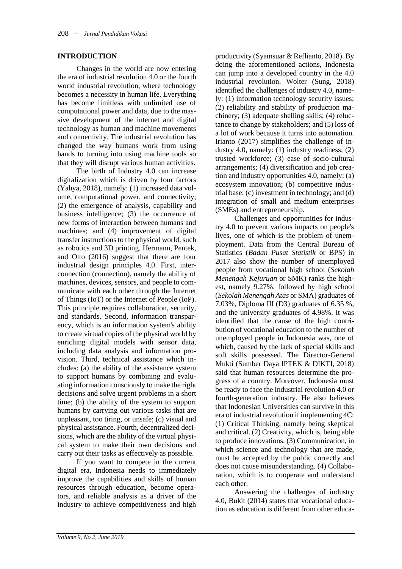# **INTRODUCTION**

Changes in the world are now entering the era of industrial revolution 4.0 or the fourth world industrial revolution, where technology becomes a necessity in human life. Everything has become limitless with unlimited use of computational power and data, due to the massive development of the internet and digital technology as human and machine movements and connectivity. The industrial revolution has changed the way humans work from using hands to turning into using machine tools so that they will disrupt various human activities.

The birth of Industry 4.0 can increase digitalization which is driven by four factors (Yahya, 2018), namely: (1) increased data volume, computational power, and connectivity; (2) the emergence of analysis, capability and business intelligence; (3) the occurrence of new forms of interaction between humans and machines; and (4) improvement of digital transfer instructions to the physical world, such as robotics and 3D printing. Hermann, Pentek, and Otto (2016) suggest that there are four industrial design principles 4.0. First, interconnection (connection), namely the ability of machines, devices, sensors, and people to communicate with each other through the Internet of Things (IoT) or the Internet of People (IoP). This principle requires collaboration, security, and standards. Second, information transparency, which is an information system's ability to create virtual copies of the physical world by enriching digital models with sensor data, including data analysis and information provision. Third, technical assistance which includes: (a) the ability of the assistance system to support humans by combining and evaluating information consciously to make the right decisions and solve urgent problems in a short time; (b) the ability of the system to support humans by carrying out various tasks that are unpleasant, too tiring, or unsafe; (c) visual and physical assistance. Fourth, decentralized decisions, which are the ability of the virtual physical system to make their own decisions and carry out their tasks as effectively as possible.

If you want to compete in the current digital era, Indonesia needs to immediately improve the capabilities and skills of human resources through education, become operators, and reliable analysis as a driver of the industry to achieve competitiveness and high

productivity (Syamsuar & Reflianto, 2018). By doing the aforementioned actions, Indonesia can jump into a developed country in the 4.0 industrial revolution. Wolter (Sung, 2018) identified the challenges of industry 4.0, namely: (1) information technology security issues; (2) reliability and stability of production machinery; (3) adequate shelling skills; (4) reluctance to change by stakeholders; and (5) loss of a lot of work because it turns into automation. Irianto (2017) simplifies the challenge of industry 4.0, namely: (1) industry readiness; (2) trusted workforce; (3) ease of socio-cultural arrangements; (4) diversification and job creation and industry opportunities 4.0, namely: (a) ecosystem innovation; (b) competitive industrial base; (c) investment in technology; and (d) integration of small and medium enterprises (SMEs) and entrepreneurship.

Challenges and opportunities for industry 4.0 to prevent various impacts on people's lives, one of which is the problem of unemployment. Data from the Central Bureau of Statistics (*Badan Pusat Statistik* or BPS) in 2017 also show the number of unemployed people from vocational high school (*Sekolah Menengah Kejuruan* or SMK) ranks the highest, namely 9.27%, followed by high school (*Sekolah Menengah Atas* or SMA) graduates of 7.03%, Diploma III (D3) graduates of 6.35 %, and the university graduates of 4.98%. It was identified that the cause of the high contribution of vocational education to the number of unemployed people in Indonesia was, one of which, caused by the lack of special skills and soft skills possessed. The Director-General Mukti (Sumber Daya IPTEK & DIKTI, 2018) said that human resources determine the progress of a country. Moreover, Indonesia must be ready to face the industrial revolution 4.0 or fourth-generation industry. He also believes that Indonesian Universities can survive in this era of industrial revolution if implementing 4C: (1) Critical Thinking, namely being skeptical and critical. (2) Creativity, which is, being able to produce innovations. (3) Communication, in which science and technology that are made. must be accepted by the public correctly and does not cause misunderstanding. (4) Collaboration, which is to cooperate and understand each other.

Answering the challenges of industry 4.0, Bukit (2014) states that vocational education as education is different from other educa-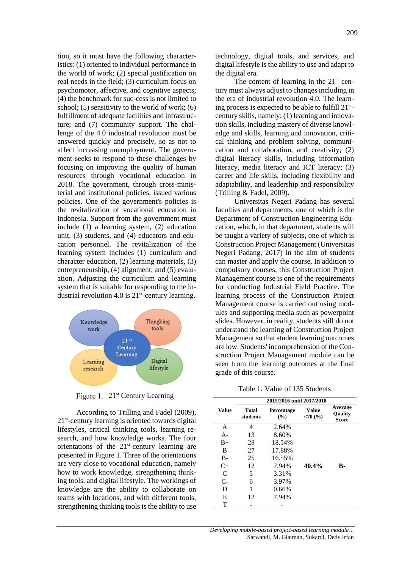tion, so it must have the following characteristics: (1) oriented to individual performance in the world of work; (2) special justification on real needs in the field; (3) curriculum focus on psychomotor, affective, and cognitive aspects; (4) the benchmark for suc-cess is not limited to school; (5) sensitivity to the world of work; (6) fulfillment of adequate facilities and infrastructure; and (7) community support. The challenge of the 4.0 industrial revolution must be answered quickly and precisely, so as not to affect increasing unemployment. The government seeks to respond to these challenges by focusing on improving the quality of human resources through vocational education in 2018. The government, through cross-ministerial and institutional policies, issued various policies. One of the government's policies is the revitalization of vocational education in Indonesia. Support from the government must include (1) a learning system, (2) education unit, (3) students, and (4) educators and education personnel. The revitalization of the learning system includes (1) curriculum and character education, (2) learning materials, (3) entrepreneurship, (4) alignment, and (5) evaluation. Adjusting the curriculum and learning system that is suitable for responding to the industrial revolution 4.0 is  $21<sup>st</sup>$ -century learning.



Figure 1. 21<sup>st</sup> Century Learning

According to Trilling and Fadel (2009), 21<sup>st</sup>-century learning is oriented towards digital lifestyles, critical thinking tools, learning research, and how knowledge works. The four orientations of the 21<sup>st</sup>-century learning are presented in Figure 1. Three of the orientations are very close to vocational education, namely how to work knowledge, strengthening thinking tools, and digital lifestyle. The workings of knowledge are the ability to collaborate on teams with locations, and with different tools, strengthening thinking tools is the ability to use

technology, digital tools, and services, and digital lifestyle is the ability to use and adapt to the digital era.

The content of learning in the  $21<sup>st</sup>$  century must always adjust to changes including in the era of industrial revolution 4.0. The learning process is expected to be able to fulfill 21<sup>st</sup>century skills, namely: (1) learning and innovation skills, including mastery of diverse knowledge and skills, learning and innovation, critical thinking and problem solving, communication and collaboration, and creativity; (2) digital literacy skills, including information literacy, media literacy and ICT literacy; (3) career and life skills, including flexibility and adaptability, and leadership and responsibility (Trilling & Fadel, 2009).

Universitas Negeri Padang has several faculties and departments, one of which is the Department of Construction Engineering Education, which, in that department, students will be taught a variety of subjects, one of which is Construction Project Management (Universitas Negeri Padang, 2017) in the aim of students can master and apply the course. In addition to compulsory courses, this Construction Project Management course is one of the requirements for conducting Industrial Field Practice. The learning process of the Construction Project Management course is carried out using modules and supporting media such as powerpoint slides. However, in reality, students still do not understand the learning of Construction Project Management so that student learning outcomes are low. Students' incomprehension of the Construction Project Management module can be seen from the learning outcomes at the final grade of this course.

Table 1. Value of 135 Students

|              |                          | 2015/2016 until 2017/2018 |                 |                                           |  |
|--------------|--------------------------|---------------------------|-----------------|-------------------------------------------|--|
| <b>Value</b> | <b>Total</b><br>students | Percentage<br>(%)         | Value<br>< 70(% | Average<br><b>Quality</b><br><b>Score</b> |  |
| A            | 4                        | 2.64%                     |                 |                                           |  |
| $A -$        | 13                       | 8.60%                     |                 |                                           |  |
| $B+$         | 28                       | 18.54%                    |                 |                                           |  |
| B            | 27                       | 17.88%                    |                 |                                           |  |
| $B -$        | 25                       | 16.55%                    |                 |                                           |  |
| $C+$         | 12                       | 7.94%                     | 40.4%           | B-                                        |  |
| C            | 5                        | 3.31%                     |                 |                                           |  |
| $C-$         | 6                        | 3.97%                     |                 |                                           |  |
| D            | 1                        | 0.66%                     |                 |                                           |  |
| E            | 12                       | 7.94%                     |                 |                                           |  |
| т            |                          |                           |                 |                                           |  |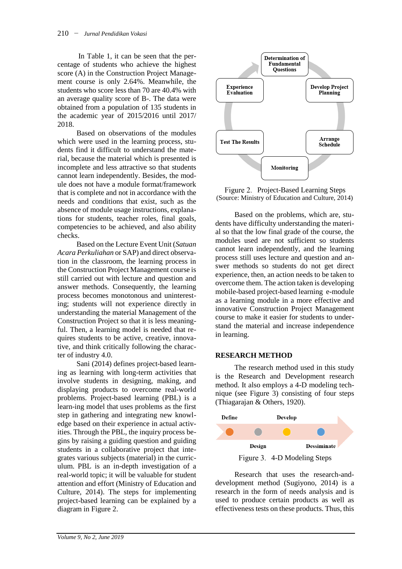In Table 1, it can be seen that the percentage of students who achieve the highest score (A) in the Construction Project Management course is only 2.64%. Meanwhile, the students who score less than 70 are 40.4% with an average quality score of B-. The data were obtained from a population of 135 students in the academic year of 2015/2016 until 2017/ 2018.

Based on observations of the modules which were used in the learning process, students find it difficult to understand the material, because the material which is presented is incomplete and less attractive so that students cannot learn independently. Besides, the module does not have a module format/framework that is complete and not in accordance with the needs and conditions that exist, such as the absence of module usage instructions, explanations for students, teacher roles, final goals, competencies to be achieved, and also ability checks.

Based on the Lecture Event Unit (*Satuan Acara Perkuliahan* or SAP) and direct observation in the classroom, the learning process in the Construction Project Management course is still carried out with lecture and question and answer methods. Consequently, the learning process becomes monotonous and uninteresting; students will not experience directly in understanding the material Management of the Construction Project so that it is less meaningful. Then, a learning model is needed that requires students to be active, creative, innovative, and think critically following the character of industry 4.0.

Sani (2014) defines project-based learning as learning with long-term activities that involve students in designing, making, and displaying products to overcome real-world problems. Project-based learning (PBL) is a learn-ing model that uses problems as the first step in gathering and integrating new knowledge based on their experience in actual activities. Through the PBL, the inquiry process begins by raising a guiding question and guiding students in a collaborative project that integrates various subjects (material) in the curriculum. PBL is an in-depth investigation of a real-world topic; it will be valuable for student attention and effort (Ministry of Education and Culture, 2014). The steps for implementing project-based learning can be explained by a diagram in Figure 2.



Figure 2. Project-Based Learning Steps (Source: Ministry of Education and Culture, 2014)

Based on the problems, which are, students have difficulty understanding the material so that the low final grade of the course, the modules used are not sufficient so students cannot learn independently, and the learning process still uses lecture and question and answer methods so students do not get direct experience, then, an action needs to be taken to overcome them. The action taken is developing mobile-based project-based learning e-module as a learning module in a more effective and innovative Construction Project Management course to make it easier for students to understand the material and increase independence in learning.

# **RESEARCH METHOD**

The research method used in this study is the Research and Development research method. It also employs a 4-D modeling technique (see Figure 3) consisting of four steps (Thiagarajan & Others, 1920).



Figure 3. 4-D Modeling Steps

Research that uses the research-anddevelopment method (Sugiyono, 2014) is a research in the form of needs analysis and is used to produce certain products as well as effectiveness tests on these products. Thus, this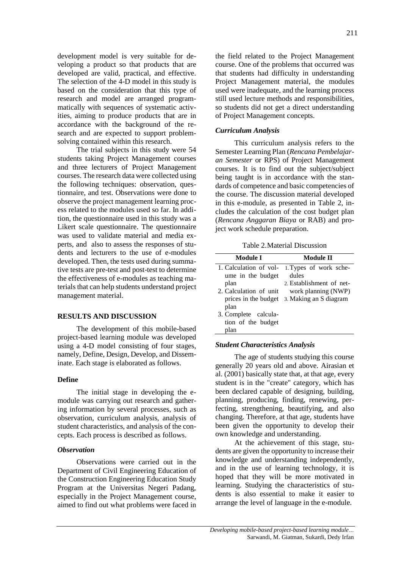development model is very suitable for developing a product so that products that are developed are valid, practical, and effective. The selection of the 4-D model in this study is based on the consideration that this type of research and model are arranged programmatically with sequences of systematic activities, aiming to produce products that are in accordance with the background of the research and are expected to support problemsolving contained within this research.

The trial subjects in this study were 54 students taking Project Management courses and three lecturers of Project Management courses. The research data were collected using the following techniques: observation, questionnaire, and test. Observations were done to observe the project management learning process related to the modules used so far. In addition, the questionnaire used in this study was a Likert scale questionnaire. The questionnaire was used to validate material and media experts, and also to assess the responses of students and lecturers to the use of e-modules developed. Then, the tests used during summative tests are pre-test and post-test to determine the effectiveness of e-modules as teaching materials that can help students understand project management material.

# **RESULTS AND DISCUSSION**

The development of this mobile-based project-based learning module was developed using a 4-D model consisting of four stages, namely, Define, Design, Develop, and Disseminate. Each stage is elaborated as follows.

# **Define**

The initial stage in developing the emodule was carrying out research and gathering information by several processes, such as observation, curriculum analysis, analysis of student characteristics, and analysis of the concepts. Each process is described as follows.

# *Observation*

Observations were carried out in the Department of Civil Engineering Education of the Construction Engineering Education Study Program at the Universitas Negeri Padang, especially in the Project Management course, aimed to find out what problems were faced in the field related to the Project Management course. One of the problems that occurred was that students had difficulty in understanding Project Management material, the modules used were inadequate, and the learning process still used lecture methods and responsibilities, so students did not get a direct understanding of Project Management concepts.

# *Curriculum Analysis*

This curriculum analysis refers to the Semester Learning Plan (*Rencana Pembelajaran Semester* or RPS) of Project Management courses. It is to find out the subject/subject being taught is in accordance with the standards of competence and basic competencies of the course. The discussion material developed in this e-module, as presented in Table 2, includes the calculation of the cost budget plan (*Rencana Anggaran Biaya* or RAB) and project work schedule preparation.

Table 2.Material Discussion

| Module I                                    | Module II                       |
|---------------------------------------------|---------------------------------|
| 1. Calculation of vol-<br>ume in the budget | 1. Types of work sche-<br>dules |
| plan                                        | 2. Establishment of net-        |
| 2. Calculation of unit                      | work planning (NWP)             |
| prices in the budget<br>plan                | 3. Making an S diagram          |
| 3. Complete calcula-                        |                                 |
| tion of the budget                          |                                 |
| plan                                        |                                 |

# *Student Characteristics Analysis*

The age of students studying this course generally 20 years old and above. Airasian et al. (2001) basically state that, at that age, every student is in the "create" category, which has been declared capable of designing, building, planning, producing, finding, renewing, perfecting, strengthening, beautifying, and also changing. Therefore, at that age, students have been given the opportunity to develop their own knowledge and understanding.

At the achievement of this stage, students are given the opportunity to increase their knowledge and understanding independently, and in the use of learning technology, it is hoped that they will be more motivated in learning. Studying the characteristics of students is also essential to make it easier to arrange the level of language in the e-module.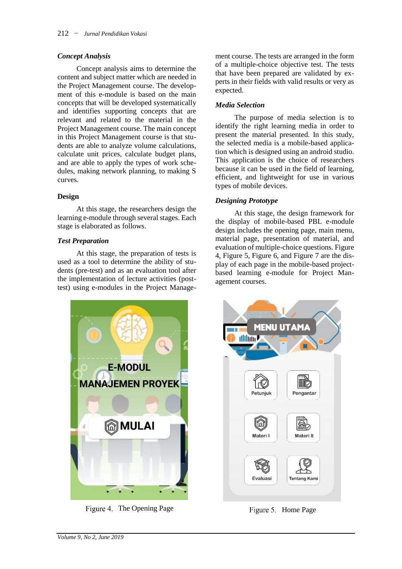# *Concept Analysis*

Concept analysis aims to determine the content and subject matter which are needed in the Project Management course. The development of this e-module is based on the main concepts that will be developed systematically and identifies supporting concepts that are relevant and related to the material in the Project Management course. The main concept in this Project Management course is that students are able to analyze volume calculations, calculate unit prices, calculate budget plans, and are able to apply the types of work schedules, making network planning, to making S curves.

# **Design**

At this stage, the researchers design the learning e-module through several stages. Each stage is elaborated as follows.

### *Test Preparation*

At this stage, the preparation of tests is used as a tool to determine the ability of students (pre-test) and as an evaluation tool after the implementation of lecture activities (posttest) using e-modules in the Project Manage-



Figure 4. The Opening Page Figure 5. Home Page

ment course. The tests are arranged in the form of a multiple-choice objective test. The tests that have been prepared are validated by experts in their fields with valid results or very as expected.

## *Media Selection*

The purpose of media selection is to identify the right learning media in order to present the material presented. In this study, the selected media is a mobile-based application which is designed using an android studio. This application is the choice of researchers because it can be used in the field of learning, efficient, and lightweight for use in various types of mobile devices.

### *Designing Prototype*

At this stage, the design framework for the display of mobile-based PBL e-module design includes the opening page, main menu, material page, presentation of material, and evaluation of multiple-choice questions. Figure 4, Figure 5, Figure 6, and Figure 7 are the display of each page in the mobile-based projectbased learning e-module for Project Management courses.

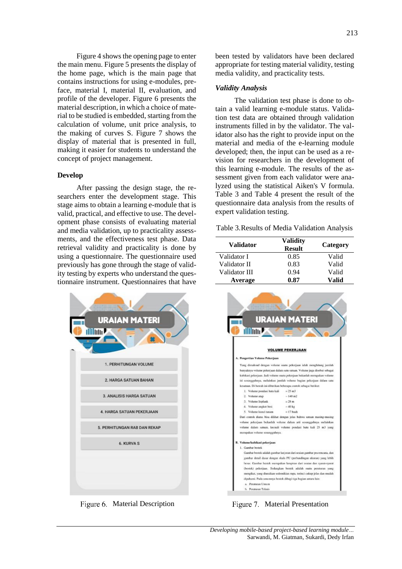Figure 4 shows the opening page to enter the main menu. Figure 5 presents the display of the home page, which is the main page that contains instructions for using e-modules, preface, material I, material II, evaluation, and profile of the developer. Figure 6 presents the material description, in which a choice of material to be studied is embedded, starting from the calculation of volume, unit price analysis, to the making of curves S. Figure 7 shows the display of material that is presented in full, making it easier for students to understand the concept of project management.

### **Develop**

After passing the design stage, the researchers enter the development stage. This stage aims to obtain a learning e-module that is valid, practical, and effective to use. The development phase consists of evaluating material and media validation, up to practicality assessments, and the effectiveness test phase. Data retrieval validity and practicality is done by using a questionnaire. The questionnaire used previously has gone through the stage of validity testing by experts who understand the questionnaire instrument. Questionnaires that have



been tested by validators have been declared appropriate for testing material validity, testing media validity, and practicality tests.

## *Validity Analysis*

The validation test phase is done to obtain a valid learning e-module status. Validation test data are obtained through validation instruments filled in by the validator. The validator also has the right to provide input on the material and media of the e-learning module developed; then, the input can be used as a revision for researchers in the development of this learning e-module. The results of the assessment given from each validator were analyzed using the statistical Aiken's V formula. Table 3 and Table 4 present the result of the questionnaire data analysis from the results of expert validation testing.

Table 3.Results of Media Validation Analysis

| <b>Validator</b> | Validity<br><b>Result</b> | Category |
|------------------|---------------------------|----------|
| Validator I      | 0.85                      | Valid    |
| Validator II     | 0.83                      | Valid    |
| Validator III    | 0.94                      | Valid    |
| Average          | 0.87                      | Valid    |



Figure 6. Material Description Figure 7. Material Presentation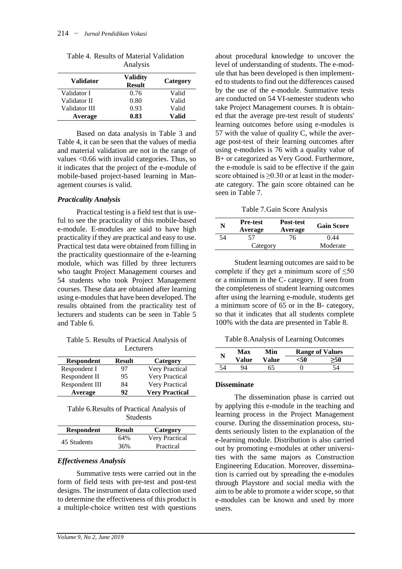| <b>Validator</b> | <b>Validity</b><br><b>Result</b> | Category |
|------------------|----------------------------------|----------|
| Validator I      | 0.76                             | Valid    |
| Validator II     | 0.80                             | Valid    |
| Validator III    | 0.93                             | Valid    |
| Average          | 0.83                             | Valid    |

Table 4. Results of Material Validation Analysis

Based on data analysis in Table 3 and Table 4, it can be seen that the values of media and material validation are not in the range of values <0.66 with invalid categories. Thus, so it indicates that the project of the e-module of mobile-based project-based learning in Management courses is valid.

### *Practicality Analysis*

Practical testing is a field test that is useful to see the practicality of this mobile-based e-module. E-modules are said to have high practicality if they are practical and easy to use. Practical test data were obtained from filling in the practicality questionnaire of the e-learning module, which was filled by three lecturers who taught Project Management courses and 54 students who took Project Management courses. These data are obtained after learning using e-modules that have been developed. The results obtained from the practicality test of lecturers and students can be seen in Table 5 and Table 6.

Table 5. Results of Practical Analysis of Lecturers

| <b>Respondent</b> | <b>Result</b> | Category              |
|-------------------|---------------|-----------------------|
| Respondent I      | 97            | <b>Very Practical</b> |
| Respondent II     | 95            | <b>Very Practical</b> |
| Respondent III    | 84            | <b>Very Practical</b> |
| Average           | 92            | <b>Very Practical</b> |

Table 6.Results of Practical Analysis of Students

| <b>Respondent</b> | <b>Result</b> | Category              |
|-------------------|---------------|-----------------------|
| 45 Students       | 64%           | <b>Very Practical</b> |
|                   | 36%           | Practical             |

# *Effectiveness Analysis*

Summative tests were carried out in the form of field tests with pre-test and post-test designs. The instrument of data collection used to determine the effectiveness of this product is a multiple-choice written test with questions

about procedural knowledge to uncover the level of understanding of students. The e-module that has been developed is then implemented to students to find out the differences caused by the use of the e-module. Summative tests are conducted on 54 VI-semester students who take Project Management courses. It is obtained that the average pre-test result of students' learning outcomes before using e-modules is 57 with the value of quality C, while the average post-test of their learning outcomes after using e-modules is 76 with a quality value of B+ or categorized as Very Good. Furthermore, the e-module is said to be effective if the gain score obtained is  $\geq 0.30$  or at least in the moderate category. The gain score obtained can be seen in Table 7.

Table 7.Gain Score Analysis

| N  | <b>Pre-test</b><br>Average | Post-test<br>Average | <b>Gain Score</b> |
|----|----------------------------|----------------------|-------------------|
| 54 | 57                         | 76                   | 0.44              |
|    | Category                   |                      | Moderate          |

Student learning outcomes are said to be complete if they get a minimum score of ≤50 or a minimum in the C- category. If seen from the completeness of student learning outcomes after using the learning e-module, students get a minimum score of 65 or in the B- category, so that it indicates that all students complete 100% with the data are presented in Table 8.

Table 8.Analysis of Learning Outcomes

| N  | Max   | Min   |     | <b>Range of Values</b> |  |
|----|-------|-------|-----|------------------------|--|
|    | Value | Value | 50ء |                        |  |
| ۲4 |       | 65    |     |                        |  |

#### **Disseminate**

The dissemination phase is carried out by applying this e-module in the teaching and learning process in the Project Management course. During the dissemination process, students seriously listen to the explanation of the e-learning module. Distribution is also carried out by promoting e-modules at other universities with the same majors as Construction Engineering Education. Moreover, dissemination is carried out by spreading the e-modules through Playstore and social media with the aim to be able to promote a wider scope, so that e-modules can be known and used by more users.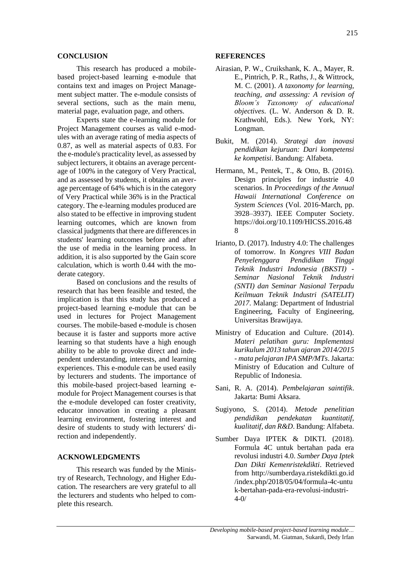#### **CONCLUSION**

This research has produced a mobilebased project-based learning e-module that contains text and images on Project Management subject matter. The e-module consists of several sections, such as the main menu, material page, evaluation page, and others.

Experts state the e-learning module for Project Management courses as valid e-modules with an average rating of media aspects of 0.87, as well as material aspects of 0.83. For the e-module's practicality level, as assessed by subject lecturers, it obtains an average percentage of 100% in the category of Very Practical, and as assessed by students, it obtains an average percentage of 64% which is in the category of Very Practical while 36% is in the Practical category. The e-learning modules produced are also stated to be effective in improving student learning outcomes, which are known from classical judgments that there are differences in students' learning outcomes before and after the use of media in the learning process. In addition, it is also supported by the Gain score calculation, which is worth 0.44 with the moderate category.

Based on conclusions and the results of research that has been feasible and tested, the implication is that this study has produced a project-based learning e-module that can be used in lectures for Project Management courses. The mobile-based e-module is chosen because it is faster and supports more active learning so that students have a high enough ability to be able to provoke direct and independent understanding, interests, and learning experiences. This e-module can be used easily by lecturers and students. The importance of this mobile-based project-based learning emodule for Project Management courses is that the e-module developed can foster creativity, educator innovation in creating a pleasant learning environment, fostering interest and desire of students to study with lecturers' direction and independently.

# **ACKNOWLEDGMENTS**

This research was funded by the Ministry of Research, Technology, and Higher Education. The researchers are very grateful to all the lecturers and students who helped to complete this research.

#### **REFERENCES**

- Airasian, P. W., Cruikshank, K. A., Mayer, R. E., Pintrich, P. R., Raths, J., & Wittrock, M. C. (2001). *A taxonomy for learning, teaching, and assessing: A revision of Bloom's Taxonomy of educational objectives*. (L. W. Anderson & D. R. Krathwohl, Eds.). New York, NY: Longman.
- Bukit, M. (2014). *Strategi dan inovasi pendidikan kejuruan: Dari kompetensi ke kompetisi*. Bandung: Alfabeta.
- Hermann, M., Pentek, T., & Otto, B. (2016). Design principles for industrie 4.0 scenarios. In *Proceedings of the Annual Hawaii International Conference on System Sciences* (Vol. 2016-March, pp. 3928–3937). IEEE Computer Society. https://doi.org/10.1109/HICSS.2016.48 8
- Irianto, D. (2017). Industry 4.0: The challenges of tomorrow. In *Kongres VIII Badan Penyelenggara Pendidikan Tinggi Teknik Industri Indonesia (BKSTI) - Seminar Nasional Teknik Industri (SNTI) dan Seminar Nasional Terpadu Keilmuan Teknik Industri (SATELIT) 2017*. Malang: Department of Industrial Engineering, Faculty of Engineering, Universitas Brawijaya.
- Ministry of Education and Culture. (2014). *Materi pelatihan guru: Implementasi kurikulum 2013 tahun ajaran 2014/2015 - mata pelajaran IPA SMP/MTs*. Jakarta: Ministry of Education and Culture of Republic of Indonesia.
- Sani, R. A. (2014). *Pembelajaran saintifik*. Jakarta: Bumi Aksara.
- Sugiyono, S. (2014). *Metode penelitian pendidikan pendekatan kuantitatif, kualitatif, dan R&D*. Bandung: Alfabeta.
- Sumber Daya IPTEK & DIKTI. (2018). Formula 4C untuk bertahan pada era revolusi industri 4.0. *Sumber Daya Iptek Dan Dikti Kemenristekdikti*. Retrieved from http://sumberdaya.ristekdikti.go.id /index.php/2018/05/04/formula-4c-untu k-bertahan-pada-era-revolusi-industri-4-0/